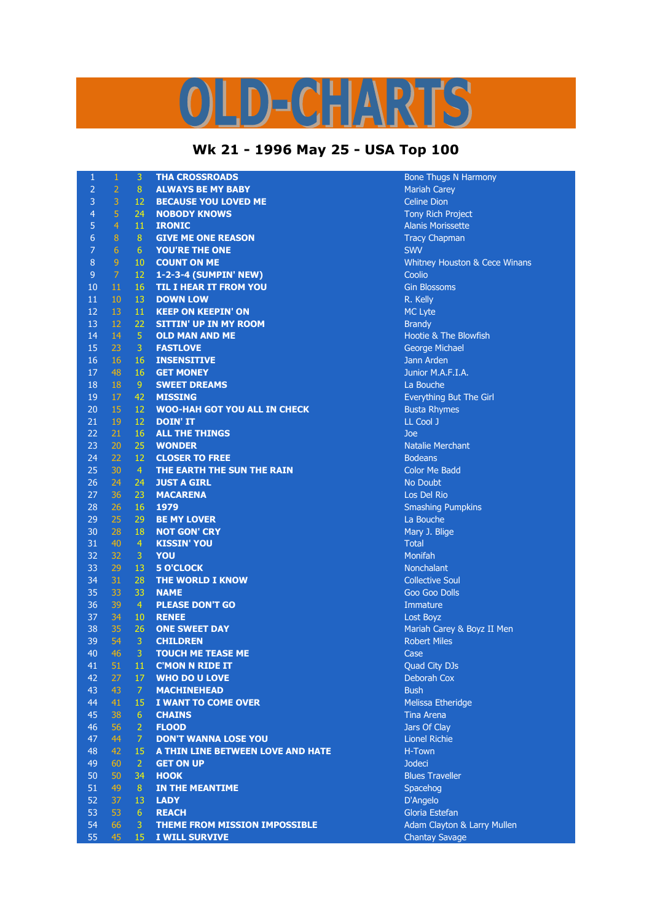## ID-CHARTS

## **Wk 21 - 1996 May 25 - USA Top 100**

| $\mathbf{1}$   | $\mathbf{1}$    | 3               | <b>THA CROSSROADS</b>                | <b>Bone Thugs N Harmony</b>              |
|----------------|-----------------|-----------------|--------------------------------------|------------------------------------------|
| $\overline{2}$ | $\overline{2}$  | 8               | <b>ALWAYS BE MY BABY</b>             | <b>Mariah Carey</b>                      |
| 3              | 3               | 12              | <b>BECAUSE YOU LOVED ME</b>          | <b>Celine Dion</b>                       |
| $\overline{4}$ | $\overline{5}$  | 24              | <b>NOBODY KNOWS</b>                  | <b>Tony Rich Project</b>                 |
| 5              | $\overline{4}$  | 11              | <b>IRONIC</b>                        | <b>Alanis Morissette</b>                 |
| 6              | 8               | 8               | <b>GIVE ME ONE REASON</b>            | <b>Tracy Chapman</b>                     |
| $\overline{7}$ | $6\phantom{1}6$ | 6 <sup>1</sup>  | YOU'RE THE ONE                       | <b>SWV</b>                               |
| $\, 8$         | $\overline{9}$  | 10              | <b>COUNT ON ME</b>                   | <b>Whitney Houston &amp; Cece Winans</b> |
| 9              | $\mathcal{I}$   | 12              | 1-2-3-4 (SUMPIN' NEW)                | Coolio                                   |
| 10             | 11              | 16              | <b>TIL I HEAR IT FROM YOU</b>        | <b>Gin Blossoms</b>                      |
| 11             | 10              | 13              | <b>DOWN LOW</b>                      | R. Kelly                                 |
| 12             | 13              | 11              | <b>KEEP ON KEEPIN' ON</b>            | MC Lyte                                  |
| 13             | 12              | 22              | <b>SITTIN' UP IN MY ROOM</b>         | <b>Brandy</b>                            |
| 14             | 14              | $\overline{5}$  | <b>OLD MAN AND ME</b>                | Hootie & The Blowfish                    |
| 15             | 23              | 3               | <b>FASTLOVE</b>                      | <b>George Michael</b>                    |
| 16             | 16              | 16              | <b>INSENSITIVE</b>                   | Jann Arden                               |
| 17             | 48              | 16              | <b>GET MONEY</b>                     | Junior M.A.F.I.A.                        |
| 18             | <b>18</b>       | 9.              | <b>SWEET DREAMS</b>                  | La Bouche                                |
| 19             | 17              | 42              | <b>MISSING</b>                       | Everything But The Girl                  |
| 20             | 15              | 12              | <b>WOO-HAH GOT YOU ALL IN CHECK</b>  | <b>Busta Rhymes</b>                      |
| 21             | 19              | 12              | <b>DOIN' IT</b>                      | LL Cool J                                |
| 22             | 21              | 16              | <b>ALL THE THINGS</b>                | Joe                                      |
| 23             | 20              | 25              | <b>WONDER</b>                        | <b>Natalie Merchant</b>                  |
| 24             | 22              | 12              | <b>CLOSER TO FREE</b>                | <b>Bodeans</b>                           |
| 25             | 30              | $\vert 4 \vert$ | THE EARTH THE SUN THE RAIN           | <b>Color Me Badd</b>                     |
| 26             | 24              | 24              | <b>JUST A GIRL</b>                   | No Doubt                                 |
| 27             | 36              | 23              | <b>MACARENA</b>                      | Los Del Rio                              |
| 28             | 26              | 16              | 1979                                 | <b>Smashing Pumpkins</b>                 |
| 29             | 25              | 29              | <b>BE MY LOVER</b>                   | La Bouche                                |
| 30             | 28              | 18              | <b>NOT GON' CRY</b>                  | Mary J. Blige                            |
| 31             | 40              | $\overline{4}$  | <b>KISSIN' YOU</b>                   | <b>Total</b>                             |
| 32             | 32              | $\mathbf{3}$    | YOU                                  | Monifah                                  |
| 33             | 29              | 13              | <b>5 O'CLOCK</b>                     | Nonchalant                               |
| 34             | 31              | 28              | THE WORLD I KNOW                     | <b>Collective Soul</b>                   |
| 35             | 33              | 33              | <b>NAME</b>                          | Goo Goo Dolls                            |
| 36             | 39              | $\overline{4}$  | <b>PLEASE DON'T GO</b>               | Immature                                 |
| 37             | 34              | 10 <sup>°</sup> | <b>RENEE</b>                         | Lost Boyz                                |
| 38             | 35              | 26              | <b>ONE SWEET DAY</b>                 | Mariah Carey & Boyz II Men               |
| 39             | 54              | $\mathbf{3}$    | <b>CHILDREN</b>                      | <b>Robert Miles</b>                      |
| 40             | 46              | 3               | <b>TOUCH ME TEASE ME</b>             | Case                                     |
| 41             | 51              | 11              | <b>C'MON N RIDE IT</b>               | <b>Quad City DJs</b>                     |
| 42             | 27              | 17              | <b>WHO DO U LOVE</b>                 | Deborah Cox                              |
| 43             | 43              | 7               | <b>MACHINEHEAD</b>                   | <b>Bush</b>                              |
| 44             | 41              | 15              | I WANT TO COME OVER                  | Melissa Etheridge                        |
| 45             | 38              | 6               | <b>CHAINS</b>                        | Tina Arena                               |
| 46             | 56              | $\overline{2}$  | <b>FLOOD</b>                         | Jars Of Clay                             |
| 47             | 44              | $\mathcal{I}$   | <b>DON'T WANNA LOSE YOU</b>          | <b>Lionel Richie</b>                     |
| 48             | 42              | 15              | A THIN LINE BETWEEN LOVE AND HATE    | H-Town                                   |
| 49             | 60              | $\overline{2}$  | <b>GET ON UP</b>                     | Jodeci                                   |
| 50             | 50              | 34              | <b>HOOK</b>                          | <b>Blues Traveller</b>                   |
| 51             | 49              | 8 <sup>°</sup>  | IN THE MEANTIME                      | Spacehog                                 |
| 52             | 37              | 13              | <b>LADY</b>                          | D'Angelo                                 |
| 53             | 53              | $6^{\circ}$     | <b>REACH</b>                         | Gloria Estefan                           |
| 54             | 66              | 3               | <b>THEME FROM MISSION IMPOSSIBLE</b> | Adam Clayton & Larry Mullen              |
| 55             | 45              | 15 <sup>°</sup> | I WILL SURVIVE                       | <b>Chantay Savage</b>                    |
|                |                 |                 |                                      |                                          |